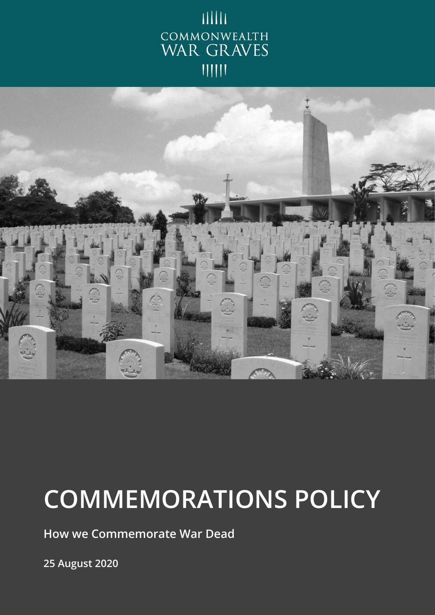



# **COMMEMORATIONS POLICY**

**How we Commemorate War Dead**

**25 August 2020**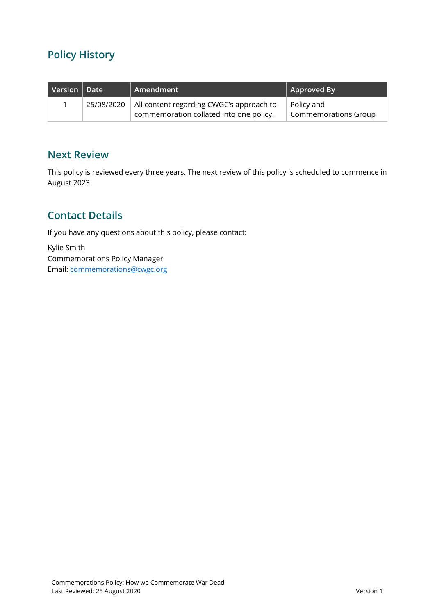# **Policy History**

| Version $\vert$ Date | Amendment                                                                                        | Approved By                               |
|----------------------|--------------------------------------------------------------------------------------------------|-------------------------------------------|
|                      | 25/08/2020   All content regarding CWGC's approach to<br>commemoration collated into one policy. | Policy and<br><b>Commemorations Group</b> |

### **Next Review**

This policy is reviewed every three years. The next review of this policy is scheduled to commence in August 2023.

## **Contact Details**

If you have any questions about this policy, please contact:

Kylie Smith Commemorations Policy Manager Email: [commemorations@cwgc.org](mailto:commemorations@cwgc.org)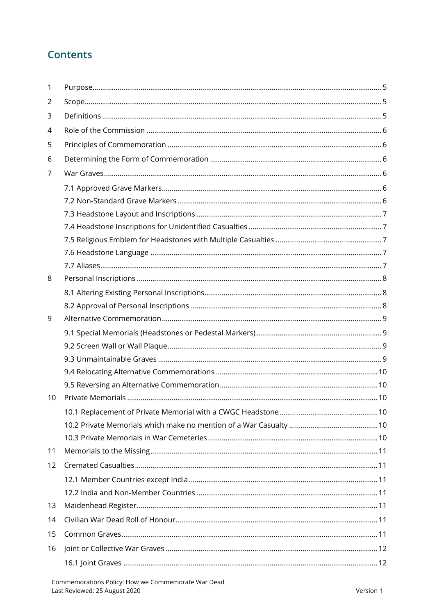## **Contents**

| 1  |  |
|----|--|
| 2  |  |
| 3  |  |
| 4  |  |
| 5  |  |
| 6  |  |
| 7  |  |
|    |  |
|    |  |
|    |  |
|    |  |
|    |  |
|    |  |
|    |  |
| 8  |  |
|    |  |
|    |  |
| 9  |  |
|    |  |
|    |  |
|    |  |
|    |  |
|    |  |
| 10 |  |
|    |  |
|    |  |
|    |  |
| 11 |  |
| 12 |  |
|    |  |
|    |  |
| 13 |  |
| 14 |  |
| 15 |  |
| 16 |  |
|    |  |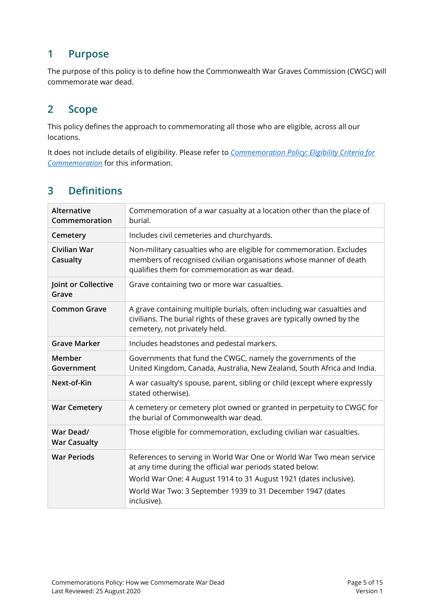## <span id="page-4-0"></span>**1 Purpose**

The purpose of this policy is to define how the Commonwealth War Graves Commission (CWGC) will commemorate war dead.

## <span id="page-4-1"></span>**2 Scope**

This policy defines the approach to commemorating all those who are eligible, across all our locations.

It does not include details of eligibility. Please refer to *[Commemoration Policy: Eligibility Criteria](https://cwgcorg.sharepoint.com/commission/ER/Documents/Policy%20-%20Eligibility%20Criteria%20for%20Commemoration_CURRENT.pdf) for [Commemoration](https://cwgcorg.sharepoint.com/commission/ER/Documents/Policy%20-%20Eligibility%20Criteria%20for%20Commemoration_CURRENT.pdf)* for this information.

## <span id="page-4-2"></span>**3 Definitions**

| <b>Alternative</b><br>Commemoration | Commemoration of a war casualty at a location other than the place of<br>burial.                                                                                                            |
|-------------------------------------|---------------------------------------------------------------------------------------------------------------------------------------------------------------------------------------------|
| Cemetery                            | Includes civil cemeteries and churchyards.                                                                                                                                                  |
| Civilian War<br>Casualty            | Non-military casualties who are eligible for commemoration. Excludes<br>members of recognised civilian organisations whose manner of death<br>qualifies them for commemoration as war dead. |
| Joint or Collective<br>Grave        | Grave containing two or more war casualties.                                                                                                                                                |
| <b>Common Grave</b>                 | A grave containing multiple burials, often including war casualties and<br>civilians. The burial rights of these graves are typically owned by the<br>cemetery, not privately held.         |
| <b>Grave Marker</b>                 | Includes headstones and pedestal markers.                                                                                                                                                   |
| Member<br>Government                | Governments that fund the CWGC, namely the governments of the<br>United Kingdom, Canada, Australia, New Zealand, South Africa and India.                                                    |
| Next-of-Kin                         | A war casualty's spouse, parent, sibling or child (except where expressly<br>stated otherwise).                                                                                             |
| <b>War Cemetery</b>                 | A cemetery or cemetery plot owned or granted in perpetuity to CWGC for<br>the burial of Commonwealth war dead.                                                                              |
| War Dead/<br><b>War Casualty</b>    | Those eligible for commemoration, excluding civilian war casualties.                                                                                                                        |
| <b>War Periods</b>                  | References to serving in World War One or World War Two mean service<br>at any time during the official war periods stated below:                                                           |
|                                     | World War One: 4 August 1914 to 31 August 1921 (dates inclusive).                                                                                                                           |
|                                     | World War Two: 3 September 1939 to 31 December 1947 (dates<br>inclusive).                                                                                                                   |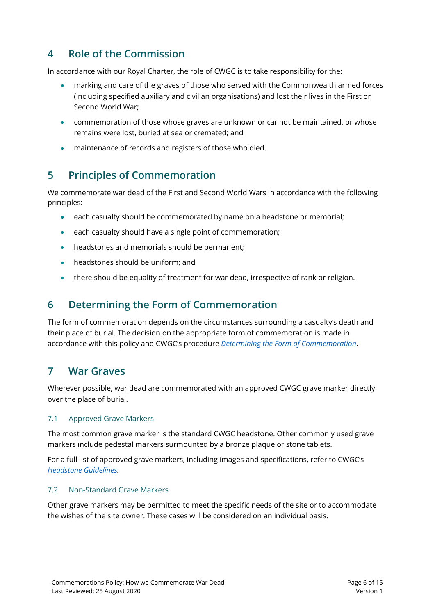## <span id="page-5-0"></span>**4 Role of the Commission**

In accordance with our Royal Charter, the role of CWGC is to take responsibility for the:

- marking and care of the graves of those who served with the Commonwealth armed forces (including specified auxiliary and civilian organisations) and lost their lives in the First or Second World War;
- commemoration of those whose graves are unknown or cannot be maintained, or whose remains were lost, buried at sea or cremated; and
- maintenance of records and registers of those who died.

## <span id="page-5-1"></span>**5 Principles of Commemoration**

We commemorate war dead of the First and Second World Wars in accordance with the following principles:

- each casualty should be commemorated by name on a headstone or memorial;
- each casualty should have a single point of commemoration;
- headstones and memorials should be permanent;
- headstones should be uniform; and
- there should be equality of treatment for war dead, irrespective of rank or religion.

## <span id="page-5-2"></span>**6 Determining the Form of Commemoration**

The form of commemoration depends on the circumstances surrounding a casualty's death and their place of burial. The decision on the appropriate form of commemoration is made in accordance with this policy and CWGC's procedure *[Determining the Form of Commemoration](https://cwgcorg.sharepoint.com/commission/ER/Documents/Procedure%20-%20Determining%20the%20Form%20of%20Commemoration_CURRENT.pdf)*.

## <span id="page-5-3"></span>**7 War Graves**

Wherever possible, war dead are commemorated with an approved CWGC grave marker directly over the place of burial.

#### <span id="page-5-4"></span>7.1 Approved Grave Markers

The most common grave marker is the standard CWGC headstone. Other commonly used grave markers include pedestal markers surmounted by a bronze plaque or stone tablets.

For a full list of approved grave markers, including images and specifications, refer to CWGC's *[Headstone Guidelines.](https://cwgcorg.sharepoint.com/commission/CS/Documents/Guidance%20and%20Policies/MATERIALS%20GUIDANCE/Headstone%20Guidance%20V.1.4.pdf)*

#### <span id="page-5-5"></span>7.2 Non-Standard Grave Markers

Other grave markers may be permitted to meet the specific needs of the site or to accommodate the wishes of the site owner. These cases will be considered on an individual basis.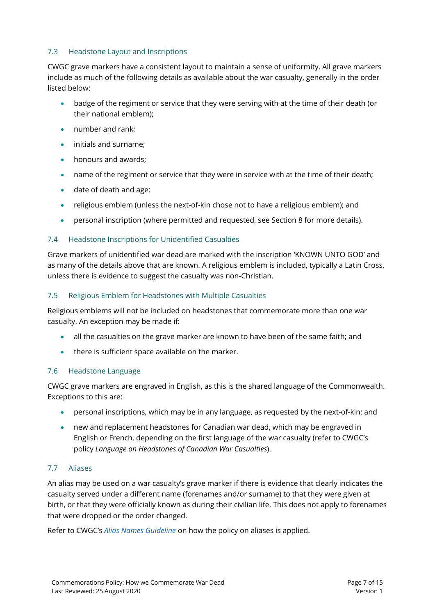#### <span id="page-6-0"></span>7.3 Headstone Layout and Inscriptions

CWGC grave markers have a consistent layout to maintain a sense of uniformity. All grave markers include as much of the following details as available about the war casualty, generally in the order listed below:

- badge of the regiment or service that they were serving with at the time of their death (or their national emblem);
- number and rank;
- initials and surname;
- honours and awards;
- name of the regiment or service that they were in service with at the time of their death;
- date of death and age;
- religious emblem (unless the next-of-kin chose not to have a religious emblem); and
- personal inscription (where permitted and requested, see Section 8 for more details).

#### <span id="page-6-1"></span>7.4 Headstone Inscriptions for Unidentified Casualties

Grave markers of unidentified war dead are marked with the inscription 'KNOWN UNTO GOD' and as many of the details above that are known. A religious emblem is included, typically a Latin Cross, unless there is evidence to suggest the casualty was non-Christian.

#### <span id="page-6-2"></span>7.5 Religious Emblem for Headstones with Multiple Casualties

Religious emblems will not be included on headstones that commemorate more than one war casualty. An exception may be made if:

- all the casualties on the grave marker are known to have been of the same faith; and
- there is sufficient space available on the marker.

#### <span id="page-6-3"></span>7.6 Headstone Language

CWGC grave markers are engraved in English, as this is the shared language of the Commonwealth. Exceptions to this are:

- personal inscriptions, which may be in any language, as requested by the next-of-kin; and
- new and replacement headstones for Canadian war dead, which may be engraved in English or French, depending on the first language of the war casualty (refer to CWGC's policy *Language on Headstones of Canadian War Casualties*).

#### <span id="page-6-4"></span>7.7 Aliases

An alias may be used on a war casualty's grave marker if there is evidence that clearly indicates the casualty served under a different name (forenames and/or surname) to that they were given at birth, or that they were officially known as during their civilian life. This does not apply to forenames that were dropped or the order changed.

Refer to CWGC's *Alias Names [Guideline](https://cwgcorg.sharepoint.com/commission/ER/Documents/Guideline%20-%20Aliases_CURRENT.pdf)* on how the policy on aliases is applied.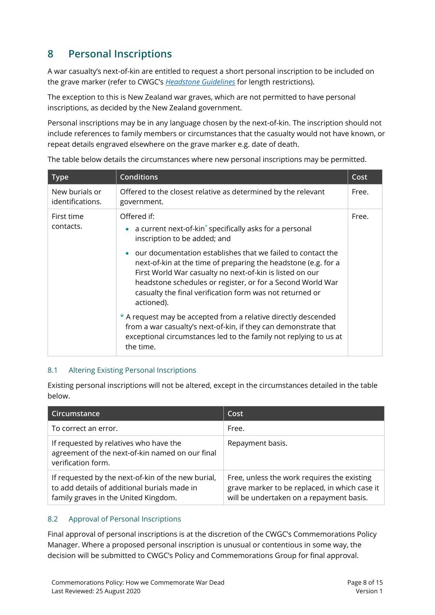# <span id="page-7-0"></span>**8 Personal Inscriptions**

A war casualty's next-of-kin are entitled to request a short personal inscription to be included on the grave marker (refer to CWGC's *[Headstone Guidelines](https://cwgcorg.sharepoint.com/commission/CS/Documents/Guidance%20and%20Policies/MATERIALS%20GUIDANCE/Headstone%20Guidance%20V.1.4.pdf)* for length restrictions).

The exception to this is New Zealand war graves, which are not permitted to have personal inscriptions, as decided by the New Zealand government.

Personal inscriptions may be in any language chosen by the next-of-kin. The inscription should not include references to family members or circumstances that the casualty would not have known, or repeat details engraved elsewhere on the grave marker e.g. date of death.

| <b>Type</b>                        | <b>Conditions</b>                                                                                                                                                                                                                                                                                                                              | Cost  |
|------------------------------------|------------------------------------------------------------------------------------------------------------------------------------------------------------------------------------------------------------------------------------------------------------------------------------------------------------------------------------------------|-------|
| New burials or<br>identifications. | Offered to the closest relative as determined by the relevant<br>government.                                                                                                                                                                                                                                                                   | Free. |
| First time<br>contacts.            | Offered if:<br>• a current next-of-kin $*$ specifically asks for a personal<br>inscription to be added; and                                                                                                                                                                                                                                    | Free. |
|                                    | our documentation establishes that we failed to contact the<br>$\bullet$<br>next-of-kin at the time of preparing the headstone (e.g. for a<br>First World War casualty no next-of-kin is listed on our<br>headstone schedules or register, or for a Second World War<br>casualty the final verification form was not returned or<br>actioned). |       |
|                                    | * A request may be accepted from a relative directly descended<br>from a war casualty's next-of-kin, if they can demonstrate that<br>exceptional circumstances led to the family not replying to us at<br>the time.                                                                                                                            |       |

The table below details the circumstances where new personal inscriptions may be permitted.

#### <span id="page-7-1"></span>8.1 Altering Existing Personal Inscriptions

Existing personal inscriptions will not be altered, except in the circumstances detailed in the table below.

| Circumstance                                                                                                                               | Cost                                                                                                                                     |
|--------------------------------------------------------------------------------------------------------------------------------------------|------------------------------------------------------------------------------------------------------------------------------------------|
| To correct an error.                                                                                                                       | Free.                                                                                                                                    |
| If requested by relatives who have the<br>agreement of the next-of-kin named on our final<br>verification form.                            | Repayment basis.                                                                                                                         |
| If requested by the next-of-kin of the new burial,<br>to add details of additional burials made in<br>family graves in the United Kingdom. | Free, unless the work requires the existing<br>grave marker to be replaced, in which case it<br>will be undertaken on a repayment basis. |

#### <span id="page-7-2"></span>8.2 Approval of Personal Inscriptions

Final approval of personal inscriptions is at the discretion of the CWGC's Commemorations Policy Manager. Where a proposed personal inscription is unusual or contentious in some way, the decision will be submitted to CWGC's Policy and Commemorations Group for final approval.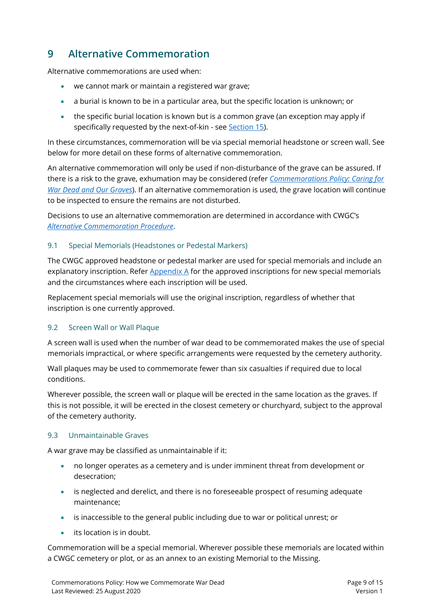## <span id="page-8-0"></span>**9 Alternative Commemoration**

Alternative commemorations are used when:

- we cannot mark or maintain a registered war grave;
- a burial is known to be in a particular area, but the specific location is unknown; or
- the specific burial location is known but is a common grave (an exception may apply if specifically requested by the next-of-kin - see [Section 15\)](#page-10-6).

In these circumstances, commemoration will be via special memorial headstone or screen wall. See below for more detail on these forms of alternative commemoration.

An alternative commemoration will only be used if non-disturbance of the grave can be assured. If there is a risk to the grave, exhumation may be considered (refer *[Commemorations Policy: Caring for](https://cwgcorg.sharepoint.com/commission/ER/Documents/Policy%20-%20Caring%20for%20War%20Dead%20and%20our%20Graves_CURRENT.pdf)  [War Dead and Our Graves](https://cwgcorg.sharepoint.com/commission/ER/Documents/Policy%20-%20Caring%20for%20War%20Dead%20and%20our%20Graves_CURRENT.pdf)*). If an alternative commemoration is used, the grave location will continue to be inspected to ensure the remains are not disturbed.

Decisions to use an alternative commemoration are determined in accordance with CWGC's *[Alternative Commemoration](https://cwgcorg.sharepoint.com/commission/ER/Documents/Procedure%20-%20Alternative%20Commemoration_CURRENT.pdf) Procedure*.

#### <span id="page-8-1"></span>9.1 Special Memorials (Headstones or Pedestal Markers)

The CWGC approved headstone or pedestal marker are used for special memorials and include an explanatory inscription. Refer  $\Delta$ ppendix  $\Delta$  for the approved inscriptions for new special memorials and the circumstances where each inscription will be used.

Replacement special memorials will use the original inscription, regardless of whether that inscription is one currently approved.

#### <span id="page-8-2"></span>9.2 Screen Wall or Wall Plaque

A screen wall is used when the number of war dead to be commemorated makes the use of special memorials impractical, or where specific arrangements were requested by the cemetery authority.

Wall plaques may be used to commemorate fewer than six casualties if required due to local conditions.

Wherever possible, the screen wall or plaque will be erected in the same location as the graves. If this is not possible, it will be erected in the closest cemetery or churchyard, subject to the approval of the cemetery authority.

#### <span id="page-8-3"></span>9.3 Unmaintainable Graves

A war grave may be classified as unmaintainable if it:

- no longer operates as a cemetery and is under imminent threat from development or desecration;
- is neglected and derelict, and there is no foreseeable prospect of resuming adequate maintenance;
- is inaccessible to the general public including due to war or political unrest; or
- its location is in doubt.

Commemoration will be a special memorial. Wherever possible these memorials are located within a CWGC cemetery or plot, or as an annex to an existing Memorial to the Missing.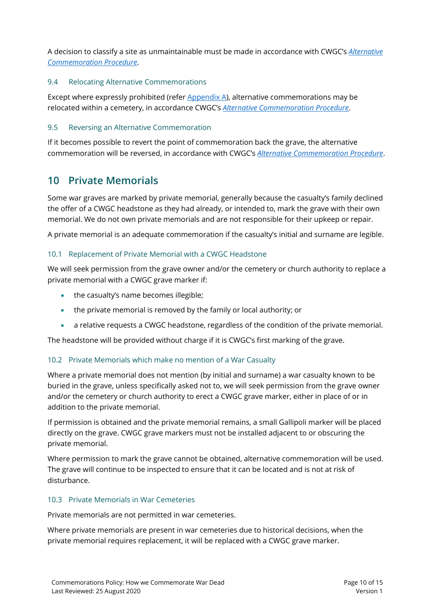A decision to classify a site as unmaintainable must be made in accordance with CWGC's *[Alternative](https://cwgcorg.sharepoint.com/commission/ER/Documents/Procedure%20-%20Alternative%20Commemoration_CURRENT.pdf)  [Commemoration Procedure](https://cwgcorg.sharepoint.com/commission/ER/Documents/Procedure%20-%20Alternative%20Commemoration_CURRENT.pdf)*.

#### <span id="page-9-0"></span>9.4 Relocating Alternative Commemorations

Except where expressly prohibited (refe[r Appendix A\)](#page-13-0), alternative commemorations may be relocated within a cemetery, in accordance CWGC's *[Alternative Commemoration](https://cwgcorg.sharepoint.com/commission/ER/Documents/Procedure%20-%20Alternative%20Commemoration_CURRENT.pdf) Procedure*.

#### <span id="page-9-1"></span>9.5 Reversing an Alternative Commemoration

If it becomes possible to revert the point of commemoration back the grave, the alternative commemoration will be reversed, in accordance with CWGC's *[Alternative Commemoration](https://cwgcorg.sharepoint.com/commission/ER/Documents/Procedure%20-%20Alternative%20Commemoration_CURRENT.pdf) Procedure*.

## <span id="page-9-2"></span>**10 Private Memorials**

Some war graves are marked by private memorial, generally because the casualty's family declined the offer of a CWGC headstone as they had already, or intended to, mark the grave with their own memorial. We do not own private memorials and are not responsible for their upkeep or repair.

A private memorial is an adequate commemoration if the casualty's initial and surname are legible.

#### <span id="page-9-3"></span>10.1 Replacement of Private Memorial with a CWGC Headstone

We will seek permission from the grave owner and/or the cemetery or church authority to replace a private memorial with a CWGC grave marker if:

- the casualty's name becomes illegible;
- the private memorial is removed by the family or local authority; or
- a relative requests a CWGC headstone, regardless of the condition of the private memorial.

The headstone will be provided without charge if it is CWGC's first marking of the grave.

#### <span id="page-9-4"></span>10.2 Private Memorials which make no mention of a War Casualty

Where a private memorial does not mention (by initial and surname) a war casualty known to be buried in the grave, unless specifically asked not to, we will seek permission from the grave owner and/or the cemetery or church authority to erect a CWGC grave marker, either in place of or in addition to the private memorial.

If permission is obtained and the private memorial remains, a small Gallipoli marker will be placed directly on the grave. CWGC grave markers must not be installed adjacent to or obscuring the private memorial.

Where permission to mark the grave cannot be obtained, alternative commemoration will be used. The grave will continue to be inspected to ensure that it can be located and is not at risk of disturbance.

#### <span id="page-9-5"></span>10.3 Private Memorials in War Cemeteries

Private memorials are not permitted in war cemeteries.

Where private memorials are present in war cemeteries due to historical decisions, when the private memorial requires replacement, it will be replaced with a CWGC grave marker.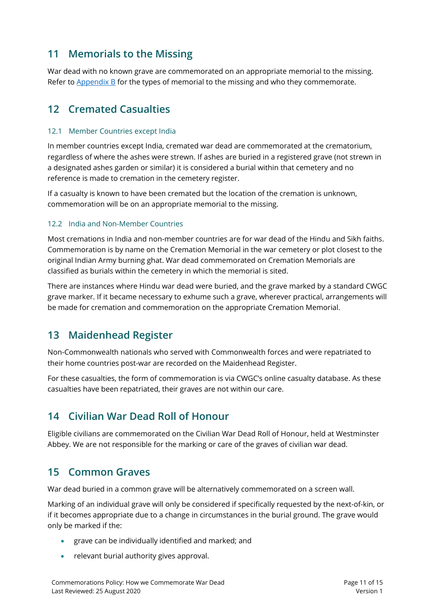## <span id="page-10-0"></span>**11 Memorials to the Missing**

War dead with no known grave are commemorated on an appropriate memorial to the missing. Refer to  $\Delta$ ppendix  $\overline{B}$  for the types of memorial to the missing and who they commemorate.

## <span id="page-10-1"></span>**12 Cremated Casualties**

#### <span id="page-10-2"></span>12.1 Member Countries except India

In member countries except India, cremated war dead are commemorated at the crematorium, regardless of where the ashes were strewn. If ashes are buried in a registered grave (not strewn in a designated ashes garden or similar) it is considered a burial within that cemetery and no reference is made to cremation in the cemetery register.

If a casualty is known to have been cremated but the location of the cremation is unknown, commemoration will be on an appropriate memorial to the missing.

#### <span id="page-10-3"></span>12.2 India and Non-Member Countries

Most cremations in India and non-member countries are for war dead of the Hindu and Sikh faiths. Commemoration is by name on the Cremation Memorial in the war cemetery or plot closest to the original Indian Army burning ghat. War dead commemorated on Cremation Memorials are classified as burials within the cemetery in which the memorial is sited.

There are instances where Hindu war dead were buried, and the grave marked by a standard CWGC grave marker. If it became necessary to exhume such a grave, wherever practical, arrangements will be made for cremation and commemoration on the appropriate Cremation Memorial.

## <span id="page-10-4"></span>**13 Maidenhead Register**

Non-Commonwealth nationals who served with Commonwealth forces and were repatriated to their home countries post-war are recorded on the Maidenhead Register.

For these casualties, the form of commemoration is via CWGC's online casualty database. As these casualties have been repatriated, their graves are not within our care.

## <span id="page-10-5"></span>**14 Civilian War Dead Roll of Honour**

Eligible civilians are commemorated on the Civilian War Dead Roll of Honour, held at Westminster Abbey. We are not responsible for the marking or care of the graves of civilian war dead.

## <span id="page-10-6"></span>**15 Common Graves**

War dead buried in a common grave will be alternatively commemorated on a screen wall.

Marking of an individual grave will only be considered if specifically requested by the next-of-kin, or if it becomes appropriate due to a change in circumstances in the burial ground. The grave would only be marked if the:

- grave can be individually identified and marked; and
- relevant burial authority gives approval.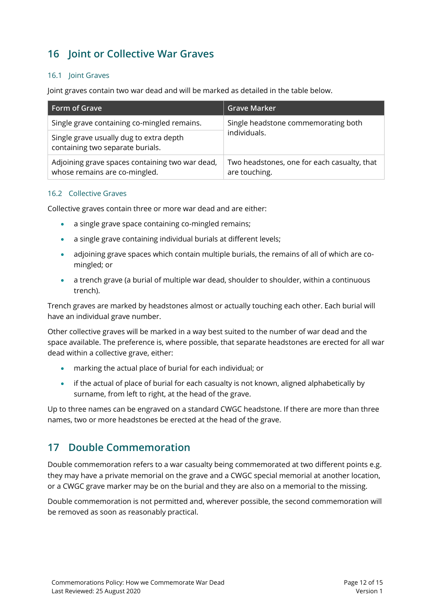# <span id="page-11-0"></span>**16 Joint or Collective War Graves**

#### <span id="page-11-1"></span>16.1 Joint Graves

Joint graves contain two war dead and will be marked as detailed in the table below.

| Form of Grave                                                                    | <b>Grave Marker</b>                                          |  |
|----------------------------------------------------------------------------------|--------------------------------------------------------------|--|
| Single grave containing co-mingled remains.                                      | Single headstone commemorating both<br>individuals.          |  |
| Single grave usually dug to extra depth<br>containing two separate burials.      |                                                              |  |
| Adjoining grave spaces containing two war dead,<br>whose remains are co-mingled. | Two headstones, one for each casualty, that<br>are touching. |  |

#### <span id="page-11-2"></span>16.2 Collective Graves

Collective graves contain three or more war dead and are either:

- a single grave space containing co-mingled remains;
- a single grave containing individual burials at different levels;
- adjoining grave spaces which contain multiple burials, the remains of all of which are comingled; or
- a trench grave (a burial of multiple war dead, shoulder to shoulder, within a continuous trench).

Trench graves are marked by headstones almost or actually touching each other. Each burial will have an individual grave number.

Other collective graves will be marked in a way best suited to the number of war dead and the space available. The preference is, where possible, that separate headstones are erected for all war dead within a collective grave, either:

- marking the actual place of burial for each individual; or
- if the actual of place of burial for each casualty is not known, aligned alphabetically by surname, from left to right, at the head of the grave.

Up to three names can be engraved on a standard CWGC headstone. If there are more than three names, two or more headstones be erected at the head of the grave.

## <span id="page-11-3"></span>**17 Double Commemoration**

Double commemoration refers to a war casualty being commemorated at two different points e.g. they may have a private memorial on the grave and a CWGC special memorial at another location, or a CWGC grave marker may be on the burial and they are also on a memorial to the missing.

Double commemoration is not permitted and, wherever possible, the second commemoration will be removed as soon as reasonably practical.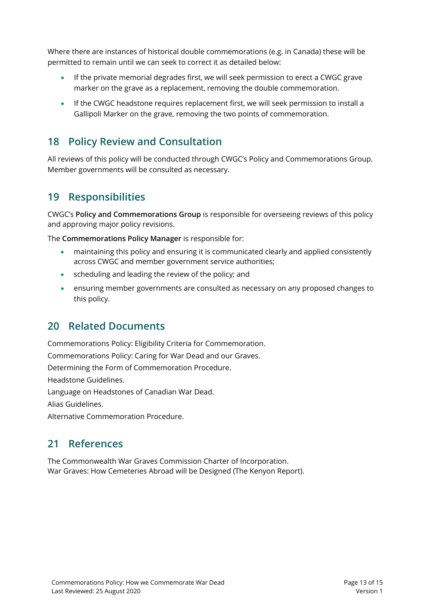Where there are instances of historical double commemorations (e.g. in Canada) these will be permitted to remain until we can seek to correct it as detailed below:

- If the private memorial degrades first, we will seek permission to erect a CWGC grave marker on the grave as a replacement, removing the double commemoration.
- If the CWGC headstone requires replacement first, we will seek permission to install a Gallipoli Marker on the grave, removing the two points of commemoration.

## <span id="page-12-0"></span>**18 Policy Review and Consultation**

All reviews of this policy will be conducted through CWGC's Policy and Commemorations Group. Member governments will be consulted as necessary.

## <span id="page-12-1"></span>**19 Responsibilities**

CWGC's **Policy and Commemorations Group** is responsible for overseeing reviews of this policy and approving major policy revisions.

The **Commemorations Policy Manager** is responsible for:

- maintaining this policy and ensuring it is communicated clearly and applied consistently across CWGC and member government service authorities;
- scheduling and leading the review of the policy; and
- ensuring member governments are consulted as necessary on any proposed changes to this policy.

## <span id="page-12-2"></span>**20 Related Documents**

Commemorations Policy: Eligibility Criteria for Commemoration. Commemorations Policy: Caring for War Dead and our Graves. Determining the Form of Commemoration Procedure.

Headstone Guidelines.

Language on Headstones of Canadian War Dead.

Alias Guidelines.

<span id="page-12-3"></span>Alternative Commemoration Procedure.

## **21 References**

The Commonwealth War Graves Commission Charter of Incorporation. War Graves: How Cemeteries Abroad will be Designed (The Kenyon Report).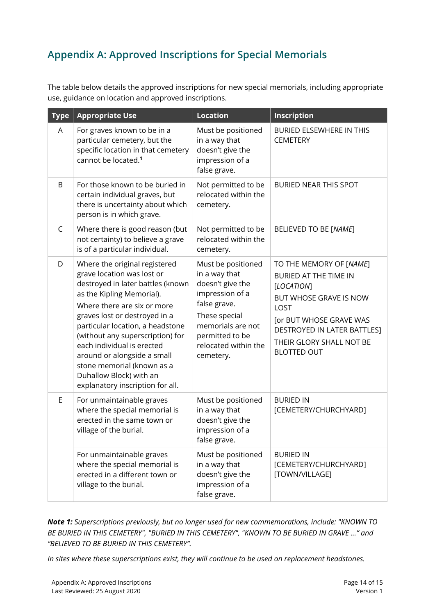# <span id="page-13-0"></span>**Appendix A: Approved Inscriptions for Special Memorials**

The table below details the approved inscriptions for new special memorials, including appropriate use, guidance on location and approved inscriptions.

| <b>Type</b>  | <b>Appropriate Use</b>                                                                                                                                                                                                                                                                                                                                                                                                          | <b>Location</b>                                                                                                                                                                          | Inscription                                                                                                                                                                                                                |
|--------------|---------------------------------------------------------------------------------------------------------------------------------------------------------------------------------------------------------------------------------------------------------------------------------------------------------------------------------------------------------------------------------------------------------------------------------|------------------------------------------------------------------------------------------------------------------------------------------------------------------------------------------|----------------------------------------------------------------------------------------------------------------------------------------------------------------------------------------------------------------------------|
| A            | For graves known to be in a<br>particular cemetery, but the<br>specific location in that cemetery<br>cannot be located. <sup>1</sup>                                                                                                                                                                                                                                                                                            | Must be positioned<br>in a way that<br>doesn't give the<br>impression of a<br>false grave.                                                                                               | BURIED ELSEWHERE IN THIS<br><b>CEMETERY</b>                                                                                                                                                                                |
| B            | For those known to be buried in<br>certain individual graves, but<br>there is uncertainty about which<br>person is in which grave.                                                                                                                                                                                                                                                                                              | Not permitted to be<br>relocated within the<br>cemetery.                                                                                                                                 | <b>BURIED NEAR THIS SPOT</b>                                                                                                                                                                                               |
| $\mathsf{C}$ | Where there is good reason (but<br>not certainty) to believe a grave<br>is of a particular individual.                                                                                                                                                                                                                                                                                                                          | Not permitted to be<br>relocated within the<br>cemetery.                                                                                                                                 | BELIEVED TO BE [NAME]                                                                                                                                                                                                      |
| D            | Where the original registered<br>grave location was lost or<br>destroyed in later battles (known<br>as the Kipling Memorial).<br>Where there are six or more<br>graves lost or destroyed in a<br>particular location, a headstone<br>(without any superscription) for<br>each individual is erected<br>around or alongside a small<br>stone memorial (known as a<br>Duhallow Block) with an<br>explanatory inscription for all. | Must be positioned<br>in a way that<br>doesn't give the<br>impression of a<br>false grave.<br>These special<br>memorials are not<br>permitted to be<br>relocated within the<br>cemetery. | TO THE MEMORY OF [NAME]<br><b>BURIED AT THE TIME IN</b><br><b>[LOCATION]</b><br>BUT WHOSE GRAVE IS NOW<br>LOST<br>[or BUT WHOSE GRAVE WAS<br>DESTROYED IN LATER BATTLES]<br>THEIR GLORY SHALL NOT BE<br><b>BLOTTED OUT</b> |
| $\mathsf E$  | For unmaintainable graves<br>where the special memorial is<br>erected in the same town or<br>village of the burial.                                                                                                                                                                                                                                                                                                             | Must be positioned<br>in a way that<br>doesn't give the<br>impression of a<br>false grave.                                                                                               | <b>BURIED IN</b><br>[CEMETERY/CHURCHYARD]                                                                                                                                                                                  |
|              | For unmaintainable graves<br>where the special memorial is<br>erected in a different town or<br>village to the burial.                                                                                                                                                                                                                                                                                                          | Must be positioned<br>in a way that<br>doesn't give the<br>impression of a<br>false grave.                                                                                               | <b>BURIED IN</b><br>[CEMETERY/CHURCHYARD]<br>[TOWN/VILLAGE]                                                                                                                                                                |

*Note 1: Superscriptions previously, but no longer used for new commemorations, include: "KNOWN TO BE BURIED IN THIS CEMETERY", "BURIED IN THIS CEMETERY", "KNOWN TO BE BURIED IN GRAVE …" and "BELIEVED TO BE BURIED IN THIS CEMETERY".* 

<span id="page-13-1"></span>*In sites where these superscriptions exist, they will continue to be used on replacement headstones.*